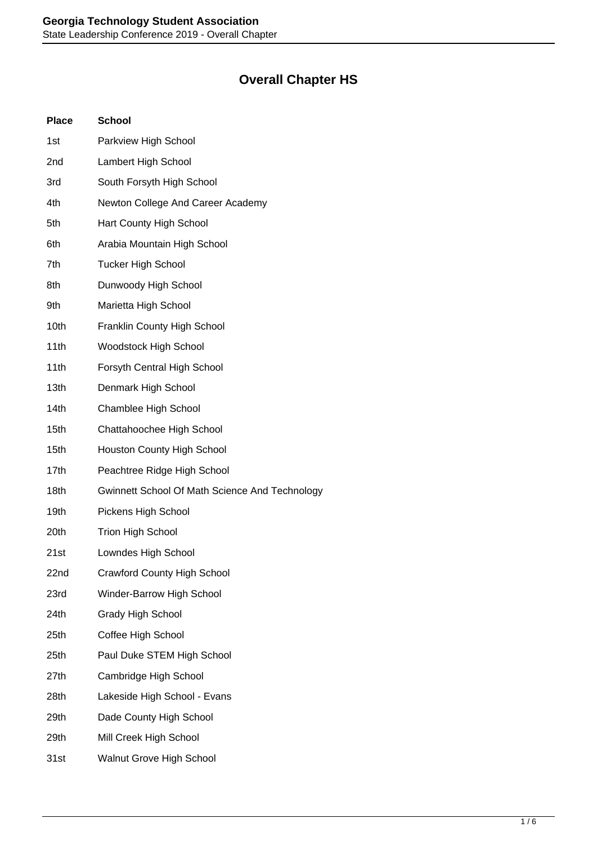## **Overall Chapter HS**

| <b>Place</b> | <b>School</b>                                  |
|--------------|------------------------------------------------|
| 1st          | Parkview High School                           |
| 2nd          | Lambert High School                            |
| 3rd          | South Forsyth High School                      |
| 4th          | Newton College And Career Academy              |
| 5th          | Hart County High School                        |
| 6th          | Arabia Mountain High School                    |
| 7th          | <b>Tucker High School</b>                      |
| 8th          | Dunwoody High School                           |
| 9th          | Marietta High School                           |
| 10th         | Franklin County High School                    |
| 11th         | <b>Woodstock High School</b>                   |
| 11th         | Forsyth Central High School                    |
| 13th         | Denmark High School                            |
| 14th         | Chamblee High School                           |
| 15th         | Chattahoochee High School                      |
| 15th         | Houston County High School                     |
| 17th         | Peachtree Ridge High School                    |
| 18th         | Gwinnett School Of Math Science And Technology |
| 19th         | Pickens High School                            |
| 20th         | <b>Trion High School</b>                       |
| 21st         | Lowndes High School                            |
| 22nd         | <b>Crawford County High School</b>             |
| 23rd         | Winder-Barrow High School                      |
| 24th         | <b>Grady High School</b>                       |
| 25th         | Coffee High School                             |
| 25th         | Paul Duke STEM High School                     |
| 27th         | Cambridge High School                          |
| 28th         | Lakeside High School - Evans                   |
| 29th         | Dade County High School                        |
| 29th         | Mill Creek High School                         |
| 31st         | <b>Walnut Grove High School</b>                |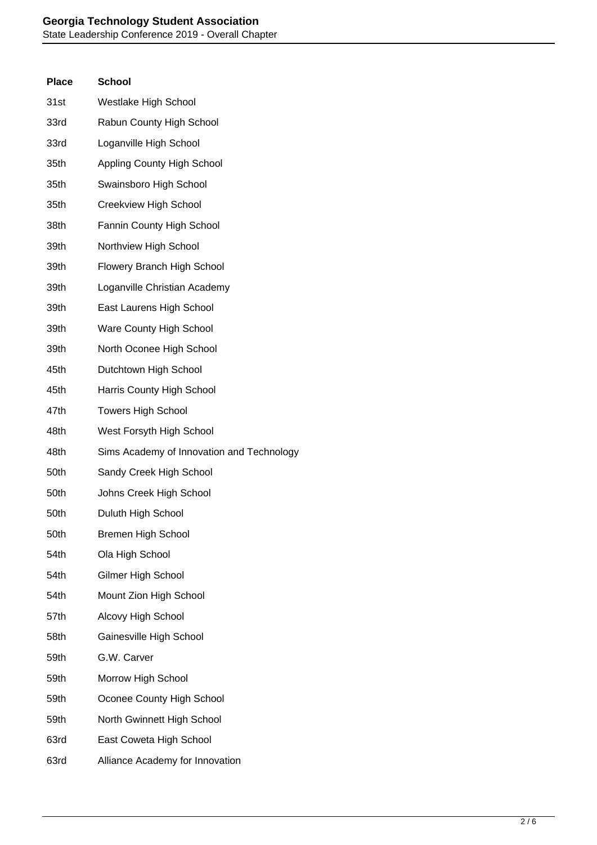| <b>Place</b> | <b>School</b>                             |
|--------------|-------------------------------------------|
| 31st         | Westlake High School                      |
| 33rd         | Rabun County High School                  |
| 33rd         | Loganville High School                    |
| 35th         | <b>Appling County High School</b>         |
| 35th         | Swainsboro High School                    |
| 35th         | Creekview High School                     |
| 38th         | Fannin County High School                 |
| 39th         | Northview High School                     |
| 39th         | Flowery Branch High School                |
| 39th         | Loganville Christian Academy              |
| 39th         | East Laurens High School                  |
| 39th         | Ware County High School                   |
| 39th         | North Oconee High School                  |
| 45th         | Dutchtown High School                     |
| 45th         | Harris County High School                 |
| 47th         | <b>Towers High School</b>                 |
| 48th         | West Forsyth High School                  |
| 48th         | Sims Academy of Innovation and Technology |
| 50th         | Sandy Creek High School                   |
| 50th         | Johns Creek High School                   |
| 50th         | Duluth High School                        |
| 50th         | <b>Bremen High School</b>                 |
| 54th         | Ola High School                           |
| 54th         | Gilmer High School                        |
| 54th         | Mount Zion High School                    |
| 57th         | Alcovy High School                        |
| 58th         | Gainesville High School                   |
| 59th         | G.W. Carver                               |
| 59th         | Morrow High School                        |
| 59th         | Oconee County High School                 |
| 59th         | North Gwinnett High School                |
| 63rd         | East Coweta High School                   |
| 63rd         | Alliance Academy for Innovation           |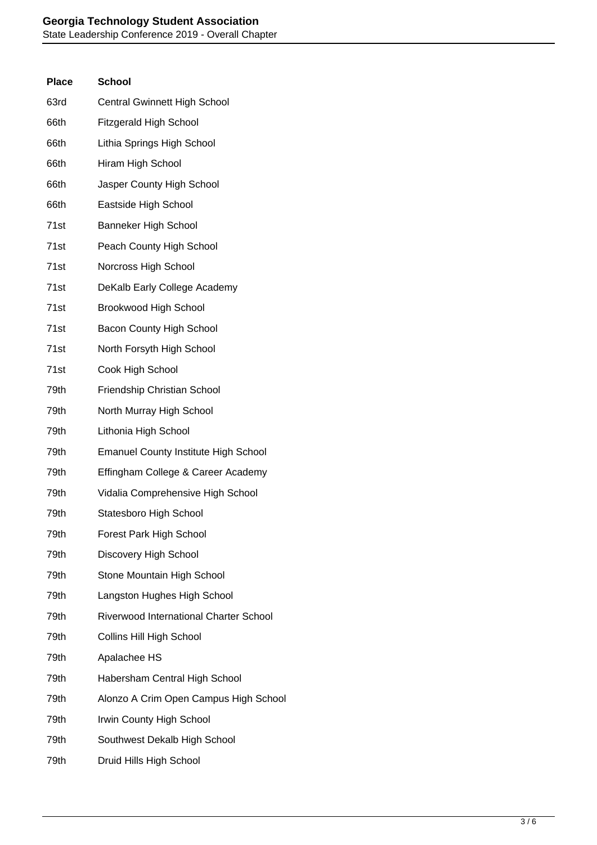## **Georgia Technology Student Association** State Leadership Conference 2019 - Overall Chapter

| <b>Place</b>     | <b>School</b>                                 |
|------------------|-----------------------------------------------|
| 63rd             | Central Gwinnett High School                  |
| 66th             | <b>Fitzgerald High School</b>                 |
| 66th             | Lithia Springs High School                    |
| 66th             | Hiram High School                             |
| 66th             | Jasper County High School                     |
| 66th             | Eastside High School                          |
| 71st             | Banneker High School                          |
| 71st             | Peach County High School                      |
| 71st             | Norcross High School                          |
| 71st             | DeKalb Early College Academy                  |
| 71 <sub>st</sub> | <b>Brookwood High School</b>                  |
| 71st             | <b>Bacon County High School</b>               |
| 71st             | North Forsyth High School                     |
| 71st             | Cook High School                              |
| 79th             | Friendship Christian School                   |
| 79th             | North Murray High School                      |
| 79th             | Lithonia High School                          |
| 79th             | <b>Emanuel County Institute High School</b>   |
| 79th             | Effingham College & Career Academy            |
| 79th             | Vidalia Comprehensive High School             |
| 79th             | Statesboro High School                        |
| 79th             | Forest Park High School                       |
| 79th             | Discovery High School                         |
| 79th             | Stone Mountain High School                    |
| 79th             | Langston Hughes High School                   |
| 79th             | <b>Riverwood International Charter School</b> |
| 79th             | Collins Hill High School                      |
| 79th             | Apalachee HS                                  |
| 79th             | Habersham Central High School                 |
| 79th             | Alonzo A Crim Open Campus High School         |
| 79th             | Irwin County High School                      |
| 79th             | Southwest Dekalb High School                  |
| 79th             | Druid Hills High School                       |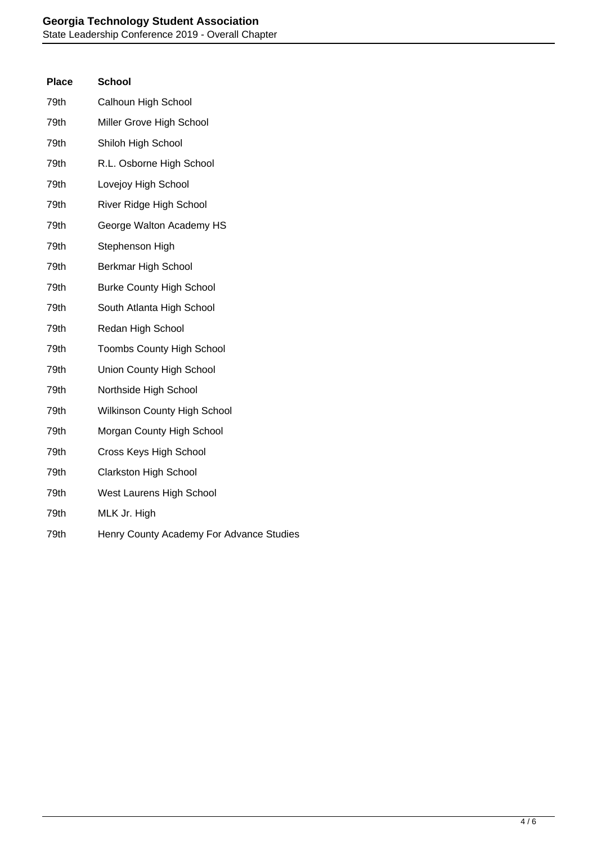| Place | <b>School</b>                       |
|-------|-------------------------------------|
| 79th  | Calhoun High School                 |
| 79th  | Miller Grove High School            |
| 79th  | Shiloh High School                  |
| 79th  | R.L. Osborne High School            |
| 79th  | Lovejoy High School                 |
| 79th  | River Ridge High School             |
| 79th  | George Walton Academy HS            |
| 79th  | Stephenson High                     |
| 79th  | Berkmar High School                 |
| 79th  | <b>Burke County High School</b>     |
| 79th  | South Atlanta High School           |
| 79th  | Redan High School                   |
| 79th  | Toombs County High School           |
| 79th  | Union County High School            |
| 79th  | Northside High School               |
| 79th  | <b>Wilkinson County High School</b> |
| 79th  | Morgan County High School           |
| 79th  | Cross Keys High School              |
| 79th  | <b>Clarkston High School</b>        |
| 79th  | West Laurens High School            |
| 79th  | MLK Jr. High                        |
|       |                                     |

79th Henry County Academy For Advance Studies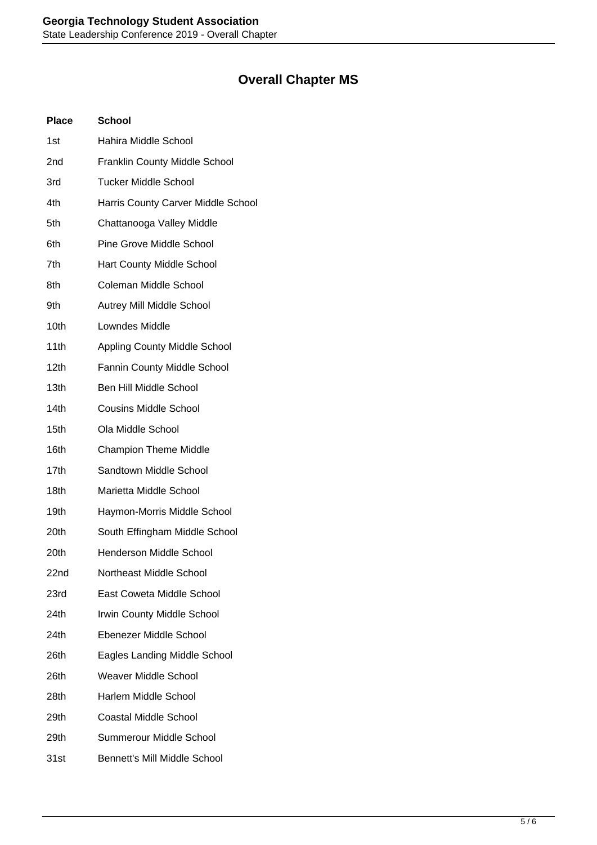## **Overall Chapter MS**

| <b>Place</b>     | <b>School</b>                        |
|------------------|--------------------------------------|
| 1st              | Hahira Middle School                 |
| 2nd              | <b>Franklin County Middle School</b> |
| 3rd              | <b>Tucker Middle School</b>          |
| 4th              | Harris County Carver Middle School   |
| 5th              | Chattanooga Valley Middle            |
| 6th              | <b>Pine Grove Middle School</b>      |
| 7th              | Hart County Middle School            |
| 8th              | Coleman Middle School                |
| 9th              | Autrey Mill Middle School            |
| 10th             | Lowndes Middle                       |
| 11th             | <b>Appling County Middle School</b>  |
| 12th             | Fannin County Middle School          |
| 13th             | <b>Ben Hill Middle School</b>        |
| 14th             | <b>Cousins Middle School</b>         |
| 15 <sub>th</sub> | Ola Middle School                    |
| 16th             | <b>Champion Theme Middle</b>         |
| 17th             | Sandtown Middle School               |
| 18th             | Marietta Middle School               |
| 19th             | Haymon-Morris Middle School          |
| 20th             | South Effingham Middle School        |
| 20th             | <b>Henderson Middle School</b>       |
| 22nd             | Northeast Middle School              |
| 23rd             | East Coweta Middle School            |
| 24th             | Irwin County Middle School           |
| 24th             | Ebenezer Middle School               |
| 26th             | Eagles Landing Middle School         |
| 26th             | <b>Weaver Middle School</b>          |
| 28th             | Harlem Middle School                 |
| 29th             | <b>Coastal Middle School</b>         |
| 29th             | Summerour Middle School              |
| 31st             | <b>Bennett's Mill Middle School</b>  |